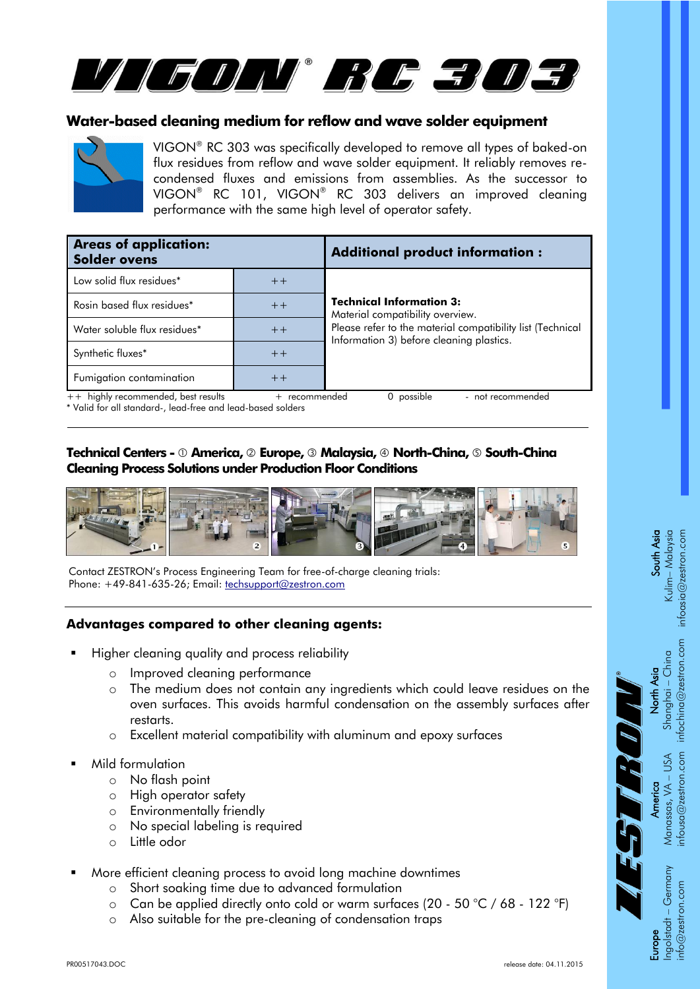

### **Water-based cleaning medium for reflow and wave solder equipment**



VIGON® RC 303 was specifically developed to remove all types of baked-on flux residues from reflow and wave solder equipment. It reliably removes recondensed fluxes and emissions from assemblies. As the successor to VIGON® RC 101, VIGON® RC 303 delivers an improved cleaning performance with the same high level of operator safety.

| <b>Areas of application:</b><br><b>Solder ovens</b> |                                                | <b>Additional product information:</b>                                                                                                                                                        |
|-----------------------------------------------------|------------------------------------------------|-----------------------------------------------------------------------------------------------------------------------------------------------------------------------------------------------|
| Low solid flux residues*                            | $++$                                           |                                                                                                                                                                                               |
| Rosin based flux residues*                          | $+ +$                                          | <b>Technical Information 3:</b><br>Material compatibility overview.<br>Please refer to the material compatibility list (Technical<br>$++$<br>Information 3) before cleaning plastics.<br>$++$ |
| Water soluble flux residues*                        |                                                |                                                                                                                                                                                               |
| Synthetic fluxes*                                   |                                                |                                                                                                                                                                                               |
| Fumigation contamination                            | $++$                                           |                                                                                                                                                                                               |
| ++ highly recommended, best results                 | - not recommended<br>possible<br>+ recommended |                                                                                                                                                                                               |

\* Valid for all standard-, lead-free and lead-based solders

#### **Technical Centers - America, Europe, Malaysia, North-China, South-China Cleaning Process Solutions under Production Floor Conditions**



Contact ZESTRON's Process Engineering Team for free-of-charge cleaning trials: Phone: +49-841-635-26; Email: [techsupport@zestron.com](mailto:techsupport@zestron.com)

#### **Advantages compared to other cleaning agents:**

- Higher cleaning quality and process reliability
	- o Improved cleaning performance
	- o The medium does not contain any ingredients which could leave residues on the oven surfaces. This avoids harmful condensation on the assembly surfaces after restarts.
	- o Excellent material compatibility with aluminum and epoxy surfaces
- Mild formulation
	- o No flash point
	- o High operator safety
	- o Environmentally friendly
	- o No special labeling is required
	- o Little odor
- More efficient cleaning process to avoid long machine downtimes
	- o Short soaking time due to advanced formulation
	- $\circ$  Can be applied directly onto cold or warm surfaces (20 50 °C / 68 122 °F)
	- o Also suitable for the pre-cleaning of condensation traps

**South Asia**<br>Kulim– Malaysia<br>infoasia@zestron.com infoasia@zestron.com

TECHNICAL INFORMATION 1

**North Asia**<br>Shanghai – China<br>infochina@zestron.com infochina@zestron.com

> Manassas, VA – USA<br>nfousa@zestron.com infousa@zestron.com

 $\frac{1}{\pi}$   $\int_{0}^{\pi}$   $\frac{1}{\pi}$ 

- Germany info@zestron.com